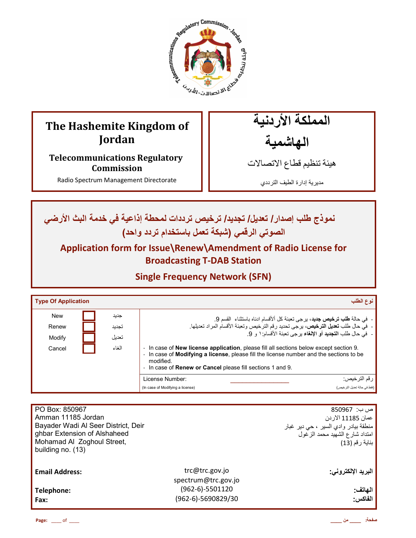

# **The Hashemite Kingdom of Jordan**

**Telecommunications Regulatory Commission** 

Radio Spectrum Management Directorate

المملكة الأردنية الـهاشمية

هيئة تنظيم قطاع الاتصـالات

مديرية إدارة الطيف الترددي

**ن**موذج طلب إصدار / تعديل/ تجديد/ ترخيص ترددات لمحطة إذاعية في خدمة البث الأرضي الصوتي الرق*مي* (شبكة تع*مل ب*استخدام تردد واحد)

**Application form for Issue\Renew\Amendment of Radio License for Broadcasting T-DAB Station** 

**Single Frequency Network (SFN)**

| Type Of Application |       | نوع الطلب                                                                                                                                                                                                                                                                 |
|---------------------|-------|---------------------------------------------------------------------------------------------------------------------------------------------------------------------------------------------------------------------------------------------------------------------------|
| <b>New</b>          | جديد  | -  في حالة <b>طلب ترخيص جديد</b> ، برجي تعبئة كل ألأقسام ادناه باستثناء  القسم 9.                                                                                                                                                                                         |
| Renew               | تجديد | -  في حال طلب <b>تعديل الترخيص،</b> يرجى تحديد رقم الترخيص وتعبئة الأقسام المراد تعديلها.                                                                                                                                                                                 |
| Modify              | تعدبل | -   فيَّ حال طلب ا <b>لتجديد</b> أو الإلغاء برجي تعبئة الأقسام: ١ و 9.                                                                                                                                                                                                    |
| Cancel              | الغاء | - In case of New license application, please fill all sections below except section 9.<br>In case of <b>Modifying a license</b> , please fill the license number and the sections to be<br>modified.<br>- In case of <b>Renew or Cancel</b> please fill sections 1 and 9. |
|                     |       | License Number:<br>ر قم التر خيص:                                                                                                                                                                                                                                         |
|                     |       | (فقط في حالة تحديل التر خيص)<br>(In case of Modifying a license)                                                                                                                                                                                                          |

| PO Box: 850967<br>Amman 11185 Jordan<br>Bayader Wadi Al Seer District, Deir<br>ghbar Extension of Alshaheed<br>Mohamad Al Zoghoul Street,<br>building no. (13) |                                         | ص ب:  850967<br>عمان 11185 الاردن<br>منطقة بيادر وادي السير ، حي دير غبار<br>امتداد شارع الشهيد محمد الزغول<br>بناية رقم (13) |
|----------------------------------------------------------------------------------------------------------------------------------------------------------------|-----------------------------------------|-------------------------------------------------------------------------------------------------------------------------------|
| <b>Email Address:</b>                                                                                                                                          | trc@trc.gov.jo<br>spectrum@trc.gov.jo   | البريد الإلكتروني:                                                                                                            |
| Telephone:<br>Fax:                                                                                                                                             | $(962-6)-5501120$<br>(962-6)-5690829/30 | الهاتف:<br>الفاكس:                                                                                                            |

**Page:** \_\_\_\_ of \_\_\_\_ **\_\_\_\_ ن \_\_\_\_ :**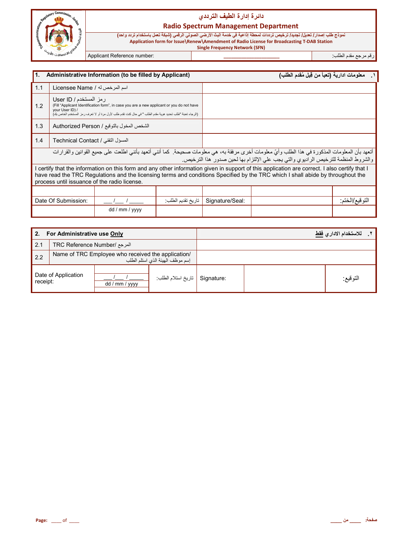

## دائرة إدارة الطيف الترد*دي*

#### **Radio Spectrum Management Department**

نموذج طلب إصدار/ تعديل/ تجديد/ ترخيص ترددات لمحطة إذاعية في خدمة البث الأرضي الصوتي الرق*مي* (شبكة تعمل باستخدام تردد واحد) **Application form for Issue\Renew\Amendment of Radio License for Broadcasting T-DAB Station Single Frequency Network (SFN)**

رم رg' دم اط+ب: **\_\_\_\_\_\_\_\_\_\_\_\_\_\_\_\_\_\_\_\_\_\_** :number Reference Applicant

| 1.<br>Administrative Information (to be filled by Applicant)                                                                                                                                                                                                                                                                     |                                   |                |                   | ١__ معلومات ادارية (تعبأ من قِبل مُقدم الطلب) |                                                                                                                                                                                                                                      |                  |
|----------------------------------------------------------------------------------------------------------------------------------------------------------------------------------------------------------------------------------------------------------------------------------------------------------------------------------|-----------------------------------|----------------|-------------------|-----------------------------------------------|--------------------------------------------------------------------------------------------------------------------------------------------------------------------------------------------------------------------------------------|------------------|
| 1.1                                                                                                                                                                                                                                                                                                                              | اسم المرخص له / Licensee Name     |                |                   |                                               |                                                                                                                                                                                                                                      |                  |
| رمز المستخدم / User ID<br>(Fill "Applicant Identification form", in case you are a new applicant or you do not have<br>1.2<br>vour User ID) /<br>(الرجاء تعبئة "طلب تحديد هوية مقدم الطلب " في حال كنت تقدم طلب لأول مرة أو لا تعرف ر مز المستخدم الخاص بك)                                                                      |                                   |                |                   |                                               |                                                                                                                                                                                                                                      |                  |
| 1.3<br>الشخص المخول بالتوقيع / Authorized Person                                                                                                                                                                                                                                                                                 |                                   |                |                   |                                               |                                                                                                                                                                                                                                      |                  |
| 1.4                                                                                                                                                                                                                                                                                                                              | المسؤل التقني / Technical Contact |                |                   |                                               |                                                                                                                                                                                                                                      |                  |
|                                                                                                                                                                                                                                                                                                                                  |                                   |                |                   |                                               | أتعهد بأن المعلومات المذكورة في هذا الطلب وأيّ معلومات أخرى مرفقة به، هي معلومات صحيحة. كما أنني أتعهد بأنني اطلعت على جميع القوانين والقرارات<br>والشروط المنظمة للترخيص الراديوي والتي يجب على الإلتزام بها لحين صدور هذا الترخيص. |                  |
| I certify that the information on this form and any other information given in support of this application are correct. I also certify that I<br>have read the TRC Regulations and the licensing terms and conditions Specified by the TRC which I shall abide by throughout the<br>process until issuance of the radio license. |                                   |                |                   |                                               |                                                                                                                                                                                                                                      |                  |
|                                                                                                                                                                                                                                                                                                                                  |                                   |                |                   |                                               |                                                                                                                                                                                                                                      |                  |
|                                                                                                                                                                                                                                                                                                                                  | Date Of Submission:               |                | تاريخ تقديم الطلب | Signature/Seal:                               |                                                                                                                                                                                                                                      | اللو فيع /الخنم: |
|                                                                                                                                                                                                                                                                                                                                  |                                   | dd / mm / yyyy |                   |                                               |                                                                                                                                                                                                                                      |                  |

| 2.<br>For Administrative use Only |                                                                                        |                |                     | للاستخدام الادار يفقط |          |  |
|-----------------------------------|----------------------------------------------------------------------------------------|----------------|---------------------|-----------------------|----------|--|
| 2.1                               | المرجع /TRC Reference Number                                                           |                |                     |                       |          |  |
| 2.2                               | Name of TRC Employee who received the application/<br>إسم موظف الهيئة الذي استلم الطلب |                |                     |                       |          |  |
| Date of Application<br>receipt:   |                                                                                        | dd / mm / yyyy | تاريخ استلام الطلب: | Signature:            | التوقيع: |  |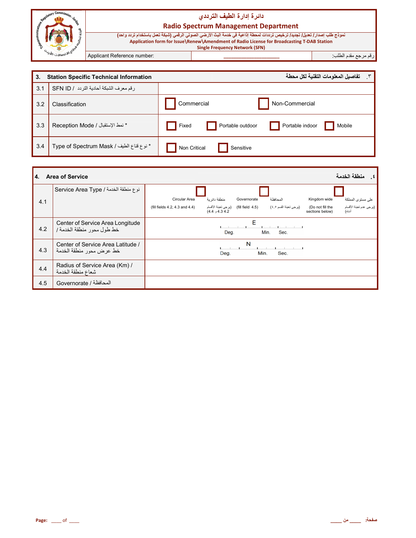|                                                                     |                             | دائرة إدارة الطيف الترددى<br><b>Radio Spectrum Management Department</b>                                                                                                                                                                                          |                         |
|---------------------------------------------------------------------|-----------------------------|-------------------------------------------------------------------------------------------------------------------------------------------------------------------------------------------------------------------------------------------------------------------|-------------------------|
|                                                                     |                             | نموذج طلب إصدار / تعليل/ تجديد/ ترخيص ترددات لمحطة إذاعية في خدمة البث الأرضي الصوتي الرقمي (شبكة تعمل باستخدام تردد واحد)<br>Application form for Issue\Renew\Amendment of Radio License for Broadcasting T-DAB Station<br><b>Single Frequency Network (SFN)</b> |                         |
| 40.8<br>لاسما الدرس الأول <sup>وب</sup><br>مسائلات- <i>الأو</i> لاب | Applicant Reference number: |                                                                                                                                                                                                                                                                   | ارقم مرجع مقدم الطلب: ˈ |

| 3.  | <b>Station Specific Technical Information</b> | ٣. تفاصيل المعلومات التقنية لكل محطة                   |
|-----|-----------------------------------------------|--------------------------------------------------------|
| 3.1 | رقم معرف الشبكة أحادية التردد / SFN ID        |                                                        |
| 3.2 | Classification                                | Non-Commercial<br>Commercial                           |
| 3.3 | * نمط الإستقبال / Reception Mode              | Portable indoor<br>Portable outdoor<br>Mobile<br>Fixed |
| 3.4 | * نوع قناع الطيف / Type of Spectrum Mask      | Non Critical<br>Sensitive                              |

| 4.  | <b>Area of Service</b>                                        |                                                             |               |                       |                                     |                                   | منطقة الخدمة      |
|-----|---------------------------------------------------------------|-------------------------------------------------------------|---------------|-----------------------|-------------------------------------|-----------------------------------|-------------------|
|     | نوع منطقة الخدمة / Service Area Type                          |                                                             |               |                       |                                     |                                   |                   |
| 4.1 |                                                               | Circular Area                                               | منطقة دائر بة | Governorate           | المحافظة                            | Kingdom wide                      | على مستوى المملكة |
|     |                                                               | (fill field   4.5)    (يرجى تعبئة الأقسام<br>4.3 4.2 و 4.4) |               | (برجي تعبئة القسم ٤٥) | (Do not fill the<br>sections below) | (يرجى عدم تعبنة الأقسام<br>أنذاه) |                   |
| 4.2 | Center of Service Area Longitude<br>خط طول محور منطقة الخدمة/ | E<br>Min.<br>Sec.<br>Deg.                                   |               |                       |                                     |                                   |                   |
| 4.3 | Center of Service Area Latitude /<br>خط عرض محور منطقة الخدمة |                                                             | Deg.          | N<br>Min.             | Sec.                                |                                   |                   |
| 4.4 | Radius of Service Area (Km) /<br>شعاع منطقة الخدمة            |                                                             |               |                       |                                     |                                   |                   |
| 4.5 | المحافظة / Governorate                                        |                                                             |               |                       |                                     |                                   |                   |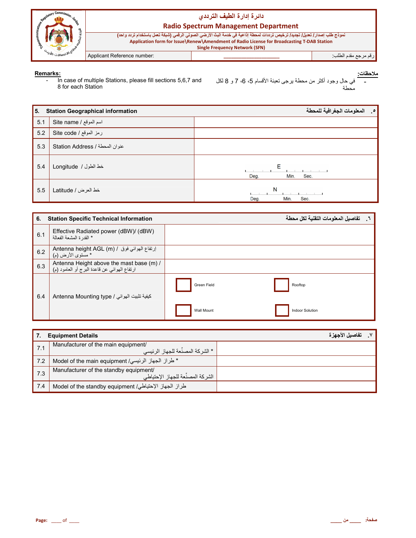

## دائرة إدارة الطيف الترددي

#### **Radio Spectrum Management Department**

نموذج طلب إصدار/ تعليل/ تجديد/ ترخيص ترددات لمحطة إذاعية في خدمة البث الأرضي الصوتي الرقمي (شبكة تعمل باستخدام تردد واحد) Application form for Issue\Renew\Amendment of Radio License for Broadcasting T-DAB Station **Single Frequency Network (SFN)** رقم مرجع مقدم الطلب<sup>.</sup>

Applicant Reference number:

#### Remarks:

In case of multiple Stations, please fill sections 5,6,7 and  $\sim$  . 8 for each Station

| 5.  | <b>Station Geographical information</b> | المعلومات الجغرافية للمحطة<br>$\cdot$ . |
|-----|-----------------------------------------|-----------------------------------------|
| 5.1 | اسم الموقع / Site name                  |                                         |
| 5.2 | رمز الموقع / Site code                  |                                         |
| 5.3 | Station Address / عنوان المحطة          |                                         |
| 5.4 | خط الطول / Longitude                    | Е<br>Deg.<br>Min.<br>Sec.               |
| 5.5 | خط العرض / Latitude                     | N<br>Min.<br>Sec.<br>Deg.               |

| 6.  | <b>Station Specific Technical Information</b>                                            |                   | .     تفاصيل المعلومات التقنية لكل محطة |
|-----|------------------------------------------------------------------------------------------|-------------------|-----------------------------------------|
| 6.1 | Effective Radiated power (dBW)/ (dBW)<br>* القدر ة المشعة الفعالة                        |                   |                                         |
| 6.2 | Antenna height AGL (m) / ارتفاع الهوائي فوق / Antenna height AGL<br>* مستوى الأرض (م)    |                   |                                         |
| 6.3 | Antenna Height above the mast base (m) /<br>ارتفاع الهوائي عن قاعدة البرج أو العامود (م) |                   |                                         |
| 6.4 | Antenna Mounting type / كيفية تثبيت الهوائي                                              | Green Field       | Rooftop                                 |
|     |                                                                                          | <b>Wall Mount</b> | <b>Indoor Solution</b>                  |

| 7.  | <b>Equipment Details</b>                                                    | تفاصيل الأجهز ة |
|-----|-----------------------------------------------------------------------------|-----------------|
| 7.1 | Manufacturer of the main equipment/<br>. * الشر كة المصنِّعة للجهاز الرئيسي |                 |
| 7.2 | * طراز الجهاز الرئيسي/ Model of the main equipment                          |                 |
| 7.3 | Manufacturer of the standby equipment/<br>الشركة المصنِّعة للجهاز الإحتياطي |                 |
| 7.4 | طراز الجهاز الإحتياطي/ Model of the standby equipment                       |                 |

<sup>&</sup>lt;u>عات:</u><br>- في حال وجود أكثر من محطة برجي تعبئة الأقسام 5، 6، 7 و 8 لكل<br>ـ محطة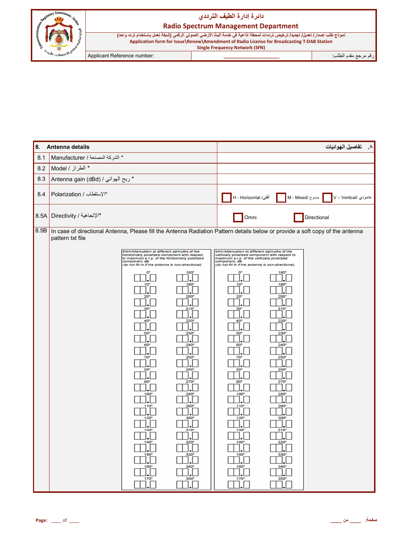



## **Radio Spectrum Management Department**

| ً نموذج طلب إصدار / تعديل/ تجديد/ ترخيص ترددات لمحطة إذاعية في خدمة البث الأرضي الصوتي الرق <i>مي</i> (شبكة تعمل باستخدام تردد واحد) |  |                     |  |  |  |  |
|--------------------------------------------------------------------------------------------------------------------------------------|--|---------------------|--|--|--|--|
| Application form for Issue \Renew \Amendment of Radio License for Broadcasting T-DAB Station                                         |  |                     |  |  |  |  |
| <b>Single Frequency Network (SFN)</b>                                                                                                |  |                     |  |  |  |  |
| pplicant Reference number:                                                                                                           |  | رقم مرجع مقدم الطلب |  |  |  |  |

| 8.   | Antenna details                                                                                                                                                                                                                                                                                                                                                                                                             |                                                                                                                                                                            |                                                                                                                                                                                                                                                                                                                                                                                                                                |                                                                                                                                                                                | تفاصيل الهوائيات<br>$\cdot$ |
|------|-----------------------------------------------------------------------------------------------------------------------------------------------------------------------------------------------------------------------------------------------------------------------------------------------------------------------------------------------------------------------------------------------------------------------------|----------------------------------------------------------------------------------------------------------------------------------------------------------------------------|--------------------------------------------------------------------------------------------------------------------------------------------------------------------------------------------------------------------------------------------------------------------------------------------------------------------------------------------------------------------------------------------------------------------------------|--------------------------------------------------------------------------------------------------------------------------------------------------------------------------------|-----------------------------|
| 8.1  | * الشركة المصنعة / Manufacturer                                                                                                                                                                                                                                                                                                                                                                                             |                                                                                                                                                                            |                                                                                                                                                                                                                                                                                                                                                                                                                                |                                                                                                                                                                                |                             |
| 8.2  | * الطراز / Model                                                                                                                                                                                                                                                                                                                                                                                                            |                                                                                                                                                                            |                                                                                                                                                                                                                                                                                                                                                                                                                                |                                                                                                                                                                                |                             |
| 8.3  | * ربح الهوائي / Antenna gain (dBd)                                                                                                                                                                                                                                                                                                                                                                                          |                                                                                                                                                                            |                                                                                                                                                                                                                                                                                                                                                                                                                                |                                                                                                                                                                                |                             |
| 8.4  | *الإستقطاب / Polarization                                                                                                                                                                                                                                                                                                                                                                                                   |                                                                                                                                                                            | أفقي/ H - Horizontal                                                                                                                                                                                                                                                                                                                                                                                                           | مدموج /M - Mixed                                                                                                                                                               | عامودي /V – Vertical        |
|      | *الإتجاهية / 8.5A Directivity                                                                                                                                                                                                                                                                                                                                                                                               |                                                                                                                                                                            | Omni                                                                                                                                                                                                                                                                                                                                                                                                                           |                                                                                                                                                                                | Directional                 |
| 8.5B | In case of directional Antenna, Please fill the Antenna Radiation Pattern details below or provide a soft copy of the antenna<br>pattern txt file                                                                                                                                                                                                                                                                           |                                                                                                                                                                            |                                                                                                                                                                                                                                                                                                                                                                                                                                |                                                                                                                                                                                |                             |
|      | 9NH/Attenuation at different azimuths of the<br>horizontally polarized component with respect<br>to maximum e.r.p. of the horizontally polarized<br>component, dB<br>(do not fill in if the antenna is non-directional)<br>O*<br>10 <sup>o</sup><br>$20^{\circ}$<br>30<br>40<br>50<br>60°<br>70°<br>80<br>$90^{\circ}$<br>100 <sup>o</sup><br>$110^{\circ}$<br>120<br>$130^{\circ}$<br>140°<br>$150^{\circ}$<br>160°<br>170 | 180<br>190°<br>200<br>210 <sup>o</sup><br>220<br>230<br>240°<br>$250^{\circ}$<br>260<br>270<br><b>280°</b><br>290°<br>300°<br>$310^{\circ}$<br>320°<br>330'<br>340°<br>350 | 9NV/Attenuation at different azimuths of the<br>vertically polarized component with respect to<br>maximum e.r.p. of the vertically polarized<br>component, dB<br>(do not fill in if the antenna is non-directional)<br>o.<br>10 <sup>°</sup><br>$20^{\circ}$<br>30'<br>40<br>50<br>60°<br>70°<br>80<br>90 <sup>o</sup><br>100 <sup>o</sup><br>110°<br>120<br>$130^{\circ}$<br>$140^\circ$<br>$150^\circ$<br>$160^\circ$<br>170 | 180<br>190°<br>200<br>210 <sup>o</sup><br>220<br>230<br>$240^\circ$<br>250°<br>260<br>270°<br>280<br>290 <sup>°</sup><br>300<br>310 <sup>o</sup><br>320°<br>330<br>340°<br>350 |                             |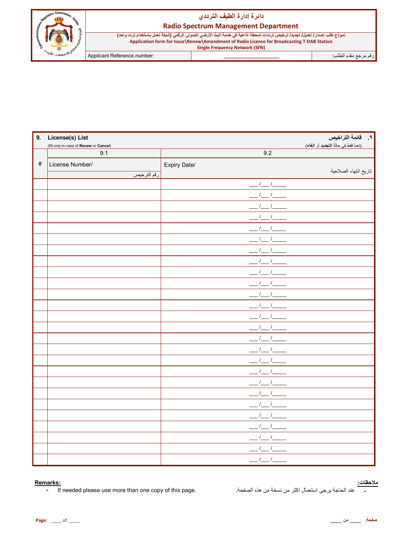#### دائرة إدارة ال**طيف التردد***ي*

# <sub>vry</sub> Comm<sub>i</sub>  .<br>التصنالات-الله

| <b>Radio Spectrum Management Department</b>                                                                                                                                                                                                                       |  |                     |  |
|-------------------------------------------------------------------------------------------------------------------------------------------------------------------------------------------------------------------------------------------------------------------|--|---------------------|--|
| نموذج طلب إصدار / تعديل/ تجديد/ ترخيص ترددات لمحطة إذاعية في خدمة البث الأرضي الصوتي الرقمي (شبكة تعمل باستخدام تردد واحد)<br>Application form for Issue\Renew\Amendment of Radio License for Broadcasting T-DAB Station<br><b>Single Frequency Network (SFN)</b> |  |                     |  |
| Applicant Reference number:                                                                                                                                                                                                                                       |  | رقم مرجع مقدم الطلب |  |

| 9.   | License(s) List                               |                                         | ا ؟.     قائمة التراخيص<br>(تعبأ فقط في حالة التجديد أو الغاء) |
|------|-----------------------------------------------|-----------------------------------------|----------------------------------------------------------------|
|      | (fill only in case of Renew or Cancel)<br>9.1 | 9.2                                     |                                                                |
| $\#$ | License Number/                               | Expiry Date/                            |                                                                |
|      | رقم الترخيص                                   |                                         | تاريخ انتهاء الصلاحية                                          |
|      |                                               |                                         |                                                                |
|      |                                               |                                         |                                                                |
|      |                                               |                                         |                                                                |
|      |                                               |                                         |                                                                |
|      |                                               |                                         |                                                                |
|      |                                               |                                         |                                                                |
|      |                                               |                                         |                                                                |
|      |                                               |                                         |                                                                |
|      |                                               |                                         |                                                                |
|      |                                               |                                         |                                                                |
|      |                                               |                                         |                                                                |
|      |                                               |                                         |                                                                |
|      |                                               |                                         |                                                                |
|      |                                               |                                         |                                                                |
|      |                                               |                                         |                                                                |
|      |                                               |                                         |                                                                |
|      |                                               |                                         |                                                                |
|      |                                               |                                         |                                                                |
|      |                                               |                                         |                                                                |
|      |                                               |                                         |                                                                |
|      |                                               |                                         |                                                                |
|      |                                               |                                         |                                                                |
|      |                                               |                                         |                                                                |
|      |                                               |                                         |                                                                |
|      |                                               |                                         |                                                                |
|      |                                               | $\mathcal{N}_{\mathcal{N}}$<br>$\prime$ |                                                                |

#### **Remarks:**

- If needed please use more than one copy of this page.